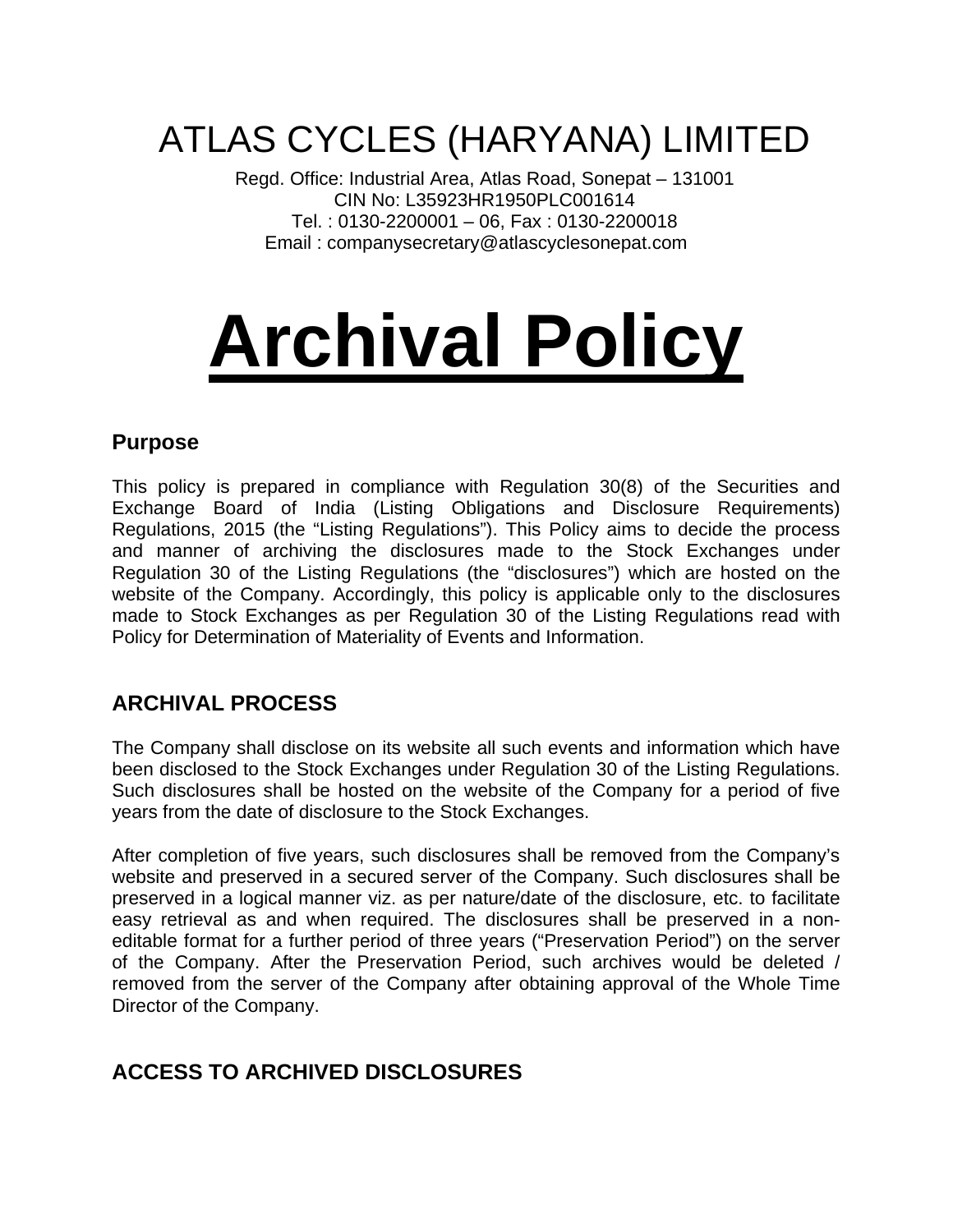## ATLAS CYCLES (HARYANA) LIMITED

Regd. Office: Industrial Area, Atlas Road, Sonepat – 131001 CIN No: L35923HR1950PLC001614 Tel. : 0130-2200001 – 06, Fax : 0130-2200018 Email : companysecretary@atlascyclesonepat.com

# **Archival Policy**

#### **Purpose**

This policy is prepared in compliance with Regulation 30(8) of the Securities and Exchange Board of India (Listing Obligations and Disclosure Requirements) Regulations, 2015 (the "Listing Regulations"). This Policy aims to decide the process and manner of archiving the disclosures made to the Stock Exchanges under Regulation 30 of the Listing Regulations (the "disclosures") which are hosted on the website of the Company. Accordingly, this policy is applicable only to the disclosures made to Stock Exchanges as per Regulation 30 of the Listing Regulations read with Policy for Determination of Materiality of Events and Information.

#### **ARCHIVAL PROCESS**

The Company shall disclose on its website all such events and information which have been disclosed to the Stock Exchanges under Regulation 30 of the Listing Regulations. Such disclosures shall be hosted on the website of the Company for a period of five years from the date of disclosure to the Stock Exchanges.

After completion of five years, such disclosures shall be removed from the Company's website and preserved in a secured server of the Company. Such disclosures shall be preserved in a logical manner viz. as per nature/date of the disclosure, etc. to facilitate easy retrieval as and when required. The disclosures shall be preserved in a noneditable format for a further period of three years ("Preservation Period") on the server of the Company. After the Preservation Period, such archives would be deleted / removed from the server of the Company after obtaining approval of the Whole Time Director of the Company.

### **ACCESS TO ARCHIVED DISCLOSURES**